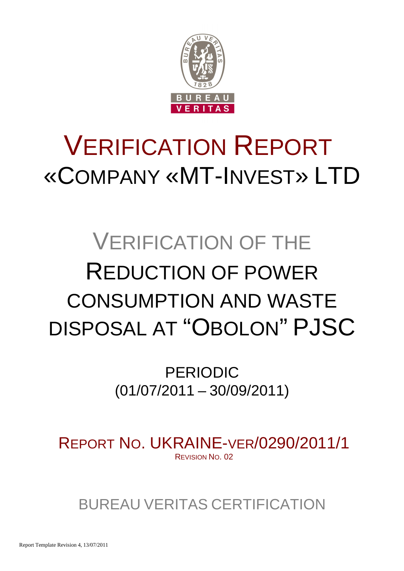

# VERIFICATION REPORT «COMPANY «MT-INVEST» LTD

# VERIFICATION OF THE REDUCTION OF POWER CONSUMPTION AND WASTE DISPOSAL AT "OBOLON" PJSC

PERIODIC (01/07/2011 – 30/09/2011)

REPORT NO. UKRAINE-VER/0290/2011/1 REVISION NO. 02

BUREAU VERITAS CERTIFICATION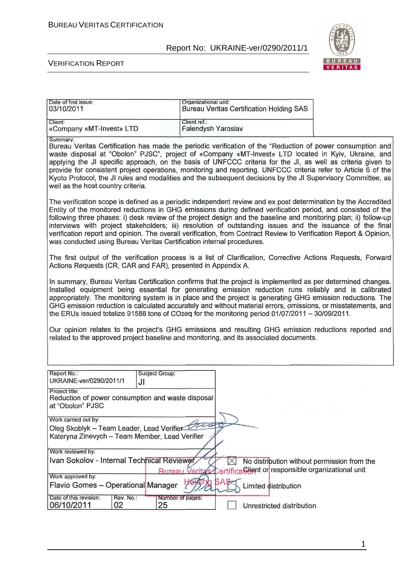

#### VERIFICATION REPORT

| Client ref.:                                                                                                                                                                                                                                                                                                                                                                                                                                                                                                                                                                                                         |                                                                                                                                                                                                                                                                            |                      |                                                                                                                                                             |                                                                         |                                                                                                                                                                                                                                                                                                                                                                                                                                                                                                                                                                                                                                                                                                                                                                                                                                                                                                                                                                                                                                                                          |
|----------------------------------------------------------------------------------------------------------------------------------------------------------------------------------------------------------------------------------------------------------------------------------------------------------------------------------------------------------------------------------------------------------------------------------------------------------------------------------------------------------------------------------------------------------------------------------------------------------------------|----------------------------------------------------------------------------------------------------------------------------------------------------------------------------------------------------------------------------------------------------------------------------|----------------------|-------------------------------------------------------------------------------------------------------------------------------------------------------------|-------------------------------------------------------------------------|--------------------------------------------------------------------------------------------------------------------------------------------------------------------------------------------------------------------------------------------------------------------------------------------------------------------------------------------------------------------------------------------------------------------------------------------------------------------------------------------------------------------------------------------------------------------------------------------------------------------------------------------------------------------------------------------------------------------------------------------------------------------------------------------------------------------------------------------------------------------------------------------------------------------------------------------------------------------------------------------------------------------------------------------------------------------------|
| Summary:<br>Bureau Veritas Certification has made the periodic verification of the "Reduction of power consumption and<br>waste disposal at "Obolon" PJSC", project of «Company «MT-Invest» LTD located in Kyiv, Ukraine, and<br>applying the JI specific approach, on the basis of UNFCCC criteria for the JI, as well as criteria given to<br>provide for consistent project operations, monitoring and reporting. UNFCCC criteria refer to Article 6 of the<br>Kyoto Protocol, the JI rules and modalities and the subsequent decisions by the JI Supervisory Committee, as<br>well as the host country criteria. |                                                                                                                                                                                                                                                                            |                      |                                                                                                                                                             |                                                                         |                                                                                                                                                                                                                                                                                                                                                                                                                                                                                                                                                                                                                                                                                                                                                                                                                                                                                                                                                                                                                                                                          |
|                                                                                                                                                                                                                                                                                                                                                                                                                                                                                                                                                                                                                      |                                                                                                                                                                                                                                                                            |                      |                                                                                                                                                             |                                                                         |                                                                                                                                                                                                                                                                                                                                                                                                                                                                                                                                                                                                                                                                                                                                                                                                                                                                                                                                                                                                                                                                          |
|                                                                                                                                                                                                                                                                                                                                                                                                                                                                                                                                                                                                                      |                                                                                                                                                                                                                                                                            |                      |                                                                                                                                                             |                                                                         |                                                                                                                                                                                                                                                                                                                                                                                                                                                                                                                                                                                                                                                                                                                                                                                                                                                                                                                                                                                                                                                                          |
| In summary, Bureau Veritas Certification confirms that the project is implemented as per determined changes.<br>Installed equipment being essential for generating emission reduction runs reliably and is calibrated<br>appropriately. The monitoring system is in place and the project is generating GHG emission reductions. The<br>GHG emission reduction is calculated accurately and without material errors, omissions, or misstatements, and<br>the ERUs issued totalize 91588 tons of CO2eq for the monitoring period 01/07/2011 - 30/09/2011.                                                             |                                                                                                                                                                                                                                                                            |                      |                                                                                                                                                             |                                                                         |                                                                                                                                                                                                                                                                                                                                                                                                                                                                                                                                                                                                                                                                                                                                                                                                                                                                                                                                                                                                                                                                          |
|                                                                                                                                                                                                                                                                                                                                                                                                                                                                                                                                                                                                                      |                                                                                                                                                                                                                                                                            |                      |                                                                                                                                                             |                                                                         |                                                                                                                                                                                                                                                                                                                                                                                                                                                                                                                                                                                                                                                                                                                                                                                                                                                                                                                                                                                                                                                                          |
|                                                                                                                                                                                                                                                                                                                                                                                                                                                                                                                                                                                                                      |                                                                                                                                                                                                                                                                            |                      |                                                                                                                                                             |                                                                         |                                                                                                                                                                                                                                                                                                                                                                                                                                                                                                                                                                                                                                                                                                                                                                                                                                                                                                                                                                                                                                                                          |
|                                                                                                                                                                                                                                                                                                                                                                                                                                                                                                                                                                                                                      |                                                                                                                                                                                                                                                                            |                      |                                                                                                                                                             |                                                                         |                                                                                                                                                                                                                                                                                                                                                                                                                                                                                                                                                                                                                                                                                                                                                                                                                                                                                                                                                                                                                                                                          |
|                                                                                                                                                                                                                                                                                                                                                                                                                                                                                                                                                                                                                      |                                                                                                                                                                                                                                                                            |                      |                                                                                                                                                             |                                                                         |                                                                                                                                                                                                                                                                                                                                                                                                                                                                                                                                                                                                                                                                                                                                                                                                                                                                                                                                                                                                                                                                          |
| $\overline{\phantom{a}}$                                                                                                                                                                                                                                                                                                                                                                                                                                                                                                                                                                                             |                                                                                                                                                                                                                                                                            |                      |                                                                                                                                                             |                                                                         |                                                                                                                                                                                                                                                                                                                                                                                                                                                                                                                                                                                                                                                                                                                                                                                                                                                                                                                                                                                                                                                                          |
|                                                                                                                                                                                                                                                                                                                                                                                                                                                                                                                                                                                                                      |                                                                                                                                                                                                                                                                            |                      |                                                                                                                                                             |                                                                         |                                                                                                                                                                                                                                                                                                                                                                                                                                                                                                                                                                                                                                                                                                                                                                                                                                                                                                                                                                                                                                                                          |
|                                                                                                                                                                                                                                                                                                                                                                                                                                                                                                                                                                                                                      |                                                                                                                                                                                                                                                                            |                      |                                                                                                                                                             |                                                                         |                                                                                                                                                                                                                                                                                                                                                                                                                                                                                                                                                                                                                                                                                                                                                                                                                                                                                                                                                                                                                                                                          |
| <b>POR</b>                                                                                                                                                                                                                                                                                                                                                                                                                                                                                                                                                                                                           |                                                                                                                                                                                                                                                                            |                      |                                                                                                                                                             |                                                                         |                                                                                                                                                                                                                                                                                                                                                                                                                                                                                                                                                                                                                                                                                                                                                                                                                                                                                                                                                                                                                                                                          |
|                                                                                                                                                                                                                                                                                                                                                                                                                                                                                                                                                                                                                      |                                                                                                                                                                                                                                                                            |                      |                                                                                                                                                             |                                                                         |                                                                                                                                                                                                                                                                                                                                                                                                                                                                                                                                                                                                                                                                                                                                                                                                                                                                                                                                                                                                                                                                          |
|                                                                                                                                                                                                                                                                                                                                                                                                                                                                                                                                                                                                                      | Subject Group:<br>Reduction of power consumption and waste disposal<br>Oleg Skoblyk - Team Leader, Lead Verifier<br>Kateryna Zinevych - Team Member, Lead Verifier<br>Ivan Sokolov - Internal Technical Reviewer<br>Flavio Gomes - Operational Manager<br>Number of pages: | Organizational unit: | Falendysh Yaroslav<br>was conducted using Bureau Veritas Certification internal procedures.<br>Actions Requests (CR, CAR and FAR), presented in Appendix A. | <b>Bureau Veritas Certification Holding SAS</b><br>Limited distribution | The verification scope is defined as a periodic independent review and ex post determination by the Accredited<br>Entity of the monitored reductions in GHG emissions during defined verification period, and consisted of the<br>following three phases: i) desk review of the project design and the baseline and monitoring plan; ii) follow-up<br>interviews with project stakeholders; iii) resolution of outstanding issues and the issuance of the final<br>verification report and opinion. The overall verification, from Contract Review to Verification Report & Opinion,<br>The first output of the verification process is a list of Clarification, Corrective Actions Requests, Forward<br>Our opinion relates to the project's GHG emissions and resulting GHG emission reductions reported and<br>related to the approved project baseline and monitoring, and its associated documents.<br>$\sim 100$<br>No distribution without permission from the<br>Bureau Veritas Certifica Glient or responsible organizational unit<br>Unrestricted distribution |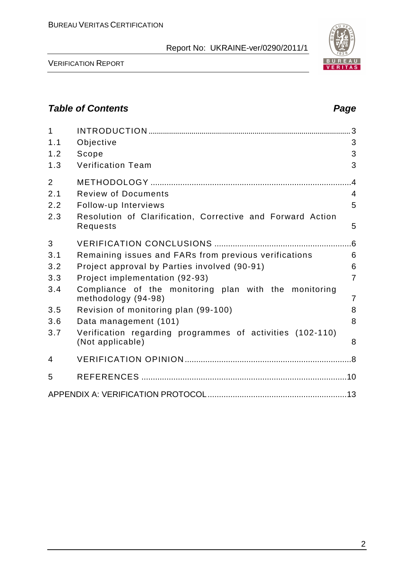

VERIFICATION REPORT

## **Table of Contents Page 2014**

| $\mathbf{1}$<br>1.1<br>1.2<br>1.3   | Objective<br>Scope<br><b>Verification Team</b>                                                                               | 3<br>3<br>3                                |
|-------------------------------------|------------------------------------------------------------------------------------------------------------------------------|--------------------------------------------|
| $\overline{2}$<br>2.1<br>2.2<br>2.3 | <b>Review of Documents</b><br>Follow-up Interviews<br>Resolution of Clarification, Corrective and Forward Action<br>Requests | $\overline{A}$<br>$\overline{4}$<br>5<br>5 |
| 3                                   |                                                                                                                              |                                            |
| 3.1                                 | Remaining issues and FARs from previous verifications                                                                        | 6                                          |
| 3.2                                 | Project approval by Parties involved (90-91)                                                                                 | 6                                          |
| 3.3                                 | Project implementation (92-93)                                                                                               | $\overline{7}$                             |
| 3.4                                 | Compliance of the monitoring plan with the monitoring<br>methodology (94-98)                                                 | $\overline{7}$                             |
| 3.5                                 | Revision of monitoring plan (99-100)                                                                                         | 8                                          |
| 3.6                                 | Data management (101)                                                                                                        | 8                                          |
| 3.7                                 | Verification regarding programmes of activities (102-110)<br>(Not applicable)                                                | 8                                          |
| 4                                   |                                                                                                                              |                                            |
| 5                                   |                                                                                                                              |                                            |
|                                     |                                                                                                                              |                                            |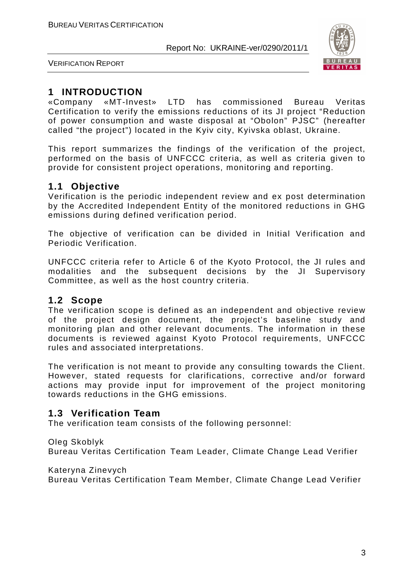

VERIFICATION REPORT

## **1 INTRODUCTION**

«Company «MT-Invest» LTD has commissioned Bureau Veritas Certification to verify the emissions reductions of its JI project "Reduction of power consumption and waste disposal at "Obolon" PJSC" (hereafter called "the project") located in the Kyiv city, Kyivska oblast, Ukraine.

This report summarizes the findings of the verification of the project, performed on the basis of UNFCCC criteria, as well as criteria given to provide for consistent project operations, monitoring and reporting.

## **1.1 Objective**

Verification is the periodic independent review and ex post determination by the Accredited Independent Entity of the monitored reductions in GHG emissions during defined verification period.

The objective of verification can be divided in Initial Verification and Periodic Verification.

UNFCCC criteria refer to Article 6 of the Kyoto Protocol, the JI rules and modalities and the subsequent decisions by the JI Supervisory Committee, as well as the host country criteria.

#### **1.2 Scope**

The verification scope is defined as an independent and objective review of the project design document, the project's baseline study and monitoring plan and other relevant documents. The information in these documents is reviewed against Kyoto Protocol requirements, UNFCCC rules and associated interpretations.

The verification is not meant to provide any consulting towards the Client. However, stated requests for clarifications, corrective and/or forward actions may provide input for improvement of the project monitoring towards reductions in the GHG emissions.

#### **1.3 Verification Team**

The verification team consists of the following personnel:

#### Oleg Skoblyk

Bureau Veritas Certification Team Leader, Climate Change Lead Verifier

Kateryna Zinevych

Bureau Veritas Certification Team Member, Climate Change Lead Verifier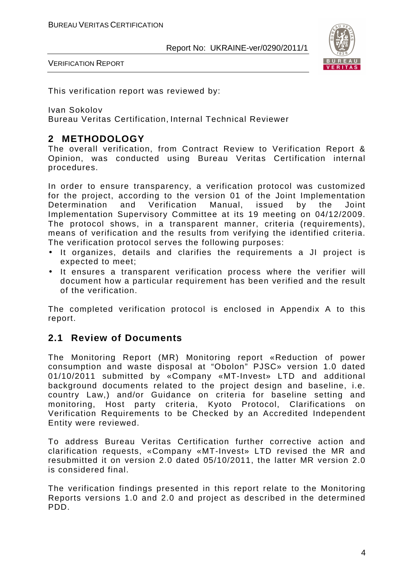

VERIFICATION REPORT

This verification report was reviewed by:

Ivan Sokolov

Bureau Veritas Certification, Internal Technical Reviewer

## **2 METHODOLOGY**

The overall verification, from Contract Review to Verification Report & Opinion, was conducted using Bureau Veritas Certification internal procedures.

In order to ensure transparency, a verification protocol was customized for the project, according to the version 01 of the Joint Implementation Determination and Verification Manual, issued by the Joint Implementation Supervisory Committee at its 19 meeting on 04/12/2009. The protocol shows, in a transparent manner, criteria (requirements), means of verification and the results from verifying the identified criteria. The verification protocol serves the following purposes:

- It organizes, details and clarifies the requirements a JI project is expected to meet;
- It ensures a transparent verification process where the verifier will document how a particular requirement has been verified and the result of the verification.

The completed verification protocol is enclosed in Appendix A to this report.

#### **2.1 Review of Documents**

The Monitoring Report (MR) Monitoring report «Reduction of power consumption and waste disposal at "Obolon" PJSC» version 1.0 dated 01/10/2011 submitted by «Company «MT-Invest» LTD and additional background documents related to the project design and baseline, i.e. country Law,) and/or Guidance on criteria for baseline setting and monitoring, Host party criteria, Kyoto Protocol, Clarifications on Verification Requirements to be Checked by an Accredited Independent Entity were reviewed.

To address Bureau Veritas Certification further corrective action and clarification requests, «Company «MT-Invest» LTD revised the MR and resubmitted it on version 2.0 dated 05/10/2011, the latter MR version 2.0 is considered final.

The verification findings presented in this report relate to the Monitoring Reports versions 1.0 and 2.0 and project as described in the determined PDD.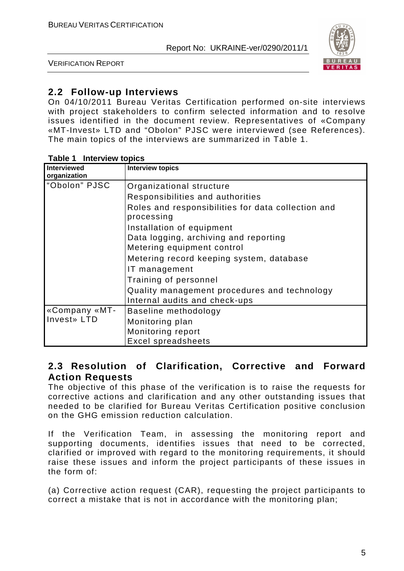

VERIFICATION REPORT

## **2.2 Follow-up Interviews**

On 04/10/2011 Bureau Veritas Certification performed on-site interviews with project stakeholders to confirm selected information and to resolve issues identified in the document review. Representatives of «Company «MT-Invest» LTD and "Obolon" PJSC were interviewed (see References). The main topics of the interviews are summarized in Table 1.

| Interviewed   | <b>Interview topics</b>                                          |
|---------------|------------------------------------------------------------------|
| organization  |                                                                  |
| "Obolon" PJSC | Organizational structure                                         |
|               | Responsibilities and authorities                                 |
|               | Roles and responsibilities for data collection and<br>processing |
|               | Installation of equipment                                        |
|               | Data logging, archiving and reporting                            |
|               | Metering equipment control                                       |
|               | Metering record keeping system, database                         |
|               | IT management                                                    |
|               | Training of personnel                                            |
|               | Quality management procedures and technology                     |
|               | Internal audits and check-ups                                    |
| «Company «MT- | Baseline methodology                                             |
| Invest» LTD   | Monitoring plan                                                  |
|               | Monitoring report                                                |
|               | <b>Excel spreadsheets</b>                                        |

#### **Table 1 Interview topics**

#### **2.3 Resolution of Clarification, Corrective and Forward Action Requests**

The objective of this phase of the verification is to raise the requests for corrective actions and clarification and any other outstanding issues that needed to be clarified for Bureau Veritas Certification positive conclusion on the GHG emission reduction calculation.

If the Verification Team, in assessing the monitoring report and supporting documents, identifies issues that need to be corrected, clarified or improved with regard to the monitoring requirements, it should raise these issues and inform the project participants of these issues in the form of:

(a) Corrective action request (CAR), requesting the project participants to correct a mistake that is not in accordance with the monitoring plan;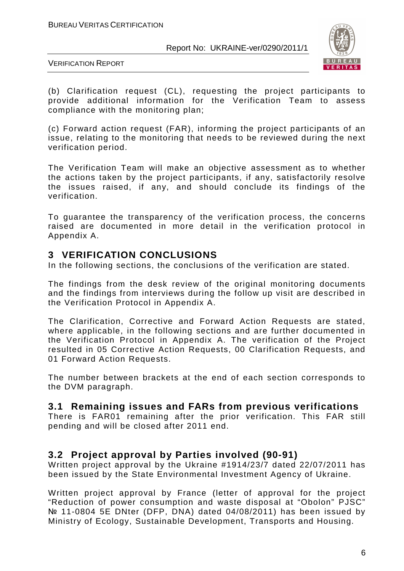

VERIFICATION REPORT

(b) Clarification request (CL), requesting the project participants to provide additional information for the Verification Team to assess compliance with the monitoring plan;

(c) Forward action request (FAR), informing the project participants of an issue, relating to the monitoring that needs to be reviewed during the next verification period.

The Verification Team will make an objective assessment as to whether the actions taken by the project participants, if any, satisfactorily resolve the issues raised, if any, and should conclude its findings of the verification.

To guarantee the transparency of the verification process, the concerns raised are documented in more detail in the verification protocol in Appendix A.

## **3 VERIFICATION CONCLUSIONS**

In the following sections, the conclusions of the verification are stated.

The findings from the desk review of the original monitoring documents and the findings from interviews during the follow up visit are described in the Verification Protocol in Appendix A.

The Clarification, Corrective and Forward Action Requests are stated, where applicable, in the following sections and are further documented in the Verification Protocol in Appendix A. The verification of the Project resulted in 05 Corrective Action Requests, 00 Clarification Requests, and 01 Forward Action Requests.

The number between brackets at the end of each section corresponds to the DVM paragraph.

#### **3.1 Remaining issues and FARs from previous verifications**

There is FAR01 remaining after the prior verification. This FAR still pending and will be closed after 2011 end.

#### **3.2 Project approval by Parties involved (90-91)**

Written project approval by the Ukraine #1914/23/7 dated 22/07/2011 has been issued by the State Environmental Investment Agency of Ukraine.

Written project approval by France (letter of approval for the project "Reduction of power consumption and waste disposal at "Obolon" PJSC" № 11-0804 5E DNter (DFP, DNA) dated 04/08/2011) has been issued by Ministry of Ecology, Sustainable Development, Transports and Housing.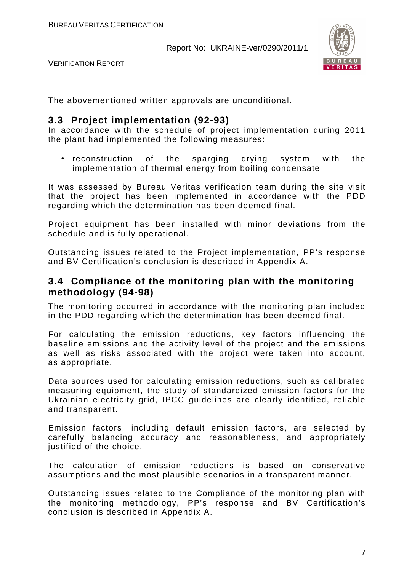

VERIFICATION REPORT

The abovementioned written approvals are unconditional.

#### **3.3 Project implementation (92-93)**

In accordance with the schedule of project implementation during 2011 the plant had implemented the following measures:

• reconstruction of the sparging drying system with the implementation of thermal energy from boiling condensate

It was assessed by Bureau Veritas verification team during the site visit that the project has been implemented in accordance with the PDD regarding which the determination has been deemed final.

Project equipment has been installed with minor deviations from the schedule and is fully operational.

Outstanding issues related to the Project implementation, PP's response and BV Certification's conclusion is described in Appendix A.

#### **3.4 Compliance of the monitoring plan with the monitoring methodology (94-98)**

The monitoring occurred in accordance with the monitoring plan included in the PDD regarding which the determination has been deemed final.

For calculating the emission reductions, key factors influencing the baseline emissions and the activity level of the project and the emissions as well as risks associated with the project were taken into account, as appropriate.

Data sources used for calculating emission reductions, such as calibrated measuring equipment, the study of standardized emission factors for the Ukrainian electricity grid, IPCC guidelines are clearly identified, reliable and transparent.

Emission factors, including default emission factors, are selected by carefully balancing accuracy and reasonableness, and appropriately justified of the choice.

The calculation of emission reductions is based on conservative assumptions and the most plausible scenarios in a transparent manner.

Outstanding issues related to the Compliance of the monitoring plan with the monitoring methodology, PP's response and BV Certification's conclusion is described in Appendix A.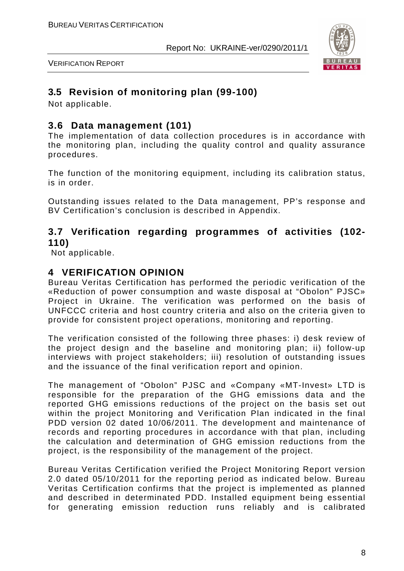

VERIFICATION REPORT

## **3.5 Revision of monitoring plan (99-100)**

Not applicable.

## **3.6 Data management (101)**

The implementation of data collection procedures is in accordance with the monitoring plan, including the quality control and quality assurance procedures.

The function of the monitoring equipment, including its calibration status, is in order.

Outstanding issues related to the Data management, PP's response and BV Certification's conclusion is described in Appendix.

#### **3.7 Verification regarding programmes of activities (102- 110)**

Not applicable.

## **4 VERIFICATION OPINION**

Bureau Veritas Certification has performed the periodic verification of the «Reduction of power consumption and waste disposal at "Obolon" PJSC» Project in Ukraine. The verification was performed on the basis of UNFCCC criteria and host country criteria and also on the criteria given to provide for consistent project operations, monitoring and reporting.

The verification consisted of the following three phases: i) desk review of the project design and the baseline and monitoring plan; ii) follow-up interviews with project stakeholders; iii) resolution of outstanding issues and the issuance of the final verification report and opinion.

The management of "Obolon" PJSC and «Company «MT-Invest» LTD is responsible for the preparation of the GHG emissions data and the reported GHG emissions reductions of the project on the basis set out within the project Monitoring and Verification Plan indicated in the final PDD version 02 dated 10/06/2011. The development and maintenance of records and reporting procedures in accordance with that plan, including the calculation and determination of GHG emission reductions from the project, is the responsibility of the management of the project.

Bureau Veritas Certification verified the Project Monitoring Report version 2.0 dated 05/10/2011 for the reporting period as indicated below. Bureau Veritas Certification confirms that the project is implemented as planned and described in determinated PDD. Installed equipment being essential for generating emission reduction runs reliably and is calibrated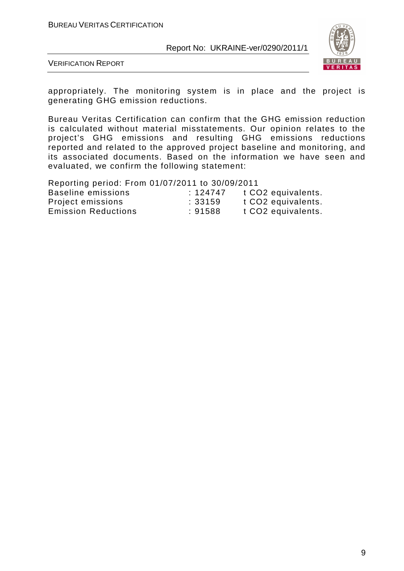

VERIFICATION REPORT

appropriately. The monitoring system is in place and the project is generating GHG emission reductions.

Bureau Veritas Certification can confirm that the GHG emission reduction is calculated without material misstatements. Our opinion relates to the project's GHG emissions and resulting GHG emissions reductions reported and related to the approved project baseline and monitoring, and its associated documents. Based on the information we have seen and evaluated, we confirm the following statement:

Reporting period: From 01/07/2011 to 30/09/2011

| Baseline emissions         | :124747 | t CO <sub>2</sub> equivalents. |
|----------------------------|---------|--------------------------------|
| Project emissions          | :33159  | t CO <sub>2</sub> equivalents. |
| <b>Emission Reductions</b> | :91588  | t CO <sub>2</sub> equivalents. |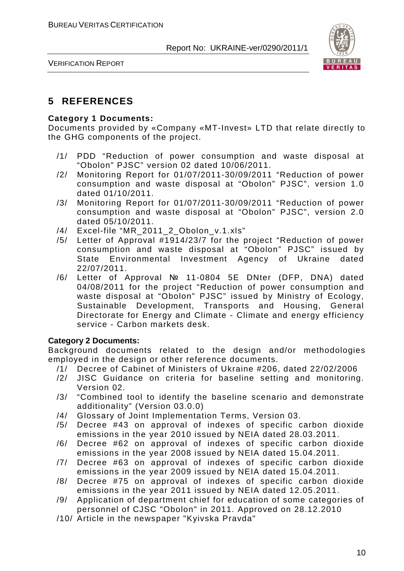

VERIFICATION REPORT

## **5 REFERENCES**

#### **Category 1 Documents:**

Documents provided by «Company «MT-Invest» LTD that relate directly to the GHG components of the project.

- /1/ PDD "Reduction of power consumption and waste disposal at "Obolon" PJSC" version 02 dated 10/06/2011.
- /2/ Monitoring Report for 01/07/2011-30/09/2011 "Reduction of power consumption and waste disposal at "Obolon" PJSC", version 1.0 dated 01/10/2011.
- /3/ Monitoring Report for 01/07/2011-30/09/2011 "Reduction of power consumption and waste disposal at "Obolon" PJSC", version 2.0 dated 05/10/2011.
- /4/ Excel-file "MR\_2011\_2\_Obolon\_v.1.xls"
- /5/ Letter of Approval #1914/23/7 for the project "Reduction of power consumption and waste disposal at "Obolon" PJSC" issued by State Environmental Investment Agency of Ukraine dated 22/07/2011.
- /6/ Letter of Approval № 11-0804 5E DNter (DFP, DNA) dated 04/08/2011 for the project "Reduction of power consumption and waste disposal at "Obolon" PJSC" issued by Ministry of Ecology, Sustainable Development, Transports and Housing, General Directorate for Energy and Climate - Climate and energy efficiency service - Carbon markets desk.

#### **Category 2 Documents:**

Background documents related to the design and/or methodologies employed in the design or other reference documents.

- /1/ Decree of Cabinet of Ministers of Ukraine #206, dated 22/02/2006
- /2/ JISC Guidance on criteria for baseline setting and monitoring. Version 02.
- /3/ "Combined tool to identify the baseline scenario and demonstrate additionality" (Version 03.0.0)
- /4/ Glossary of Joint Implementation Terms, Version 03.
- /5/ Decree #43 on approval of indexes of specific carbon dioxide emissions in the year 2010 issued by NEIA dated 28.03.2011.
- /6/ Decree #62 on approval of indexes of specific carbon dioxide emissions in the year 2008 issued by NEIA dated 15.04.2011.
- /7/ Decree #63 on approval of indexes of specific carbon dioxide emissions in the year 2009 issued by NEIA dated 15.04.2011.
- /8/ Decree #75 on approval of indexes of specific carbon dioxide emissions in the year 2011 issued by NEIA dated 12.05.2011.
- /9/ Application of department chief for education of some categories of personnel of CJSC "Obolon" in 2011. Approved on 28.12.2010
- /10/ Article in the newspaper "Kyivska Pravda"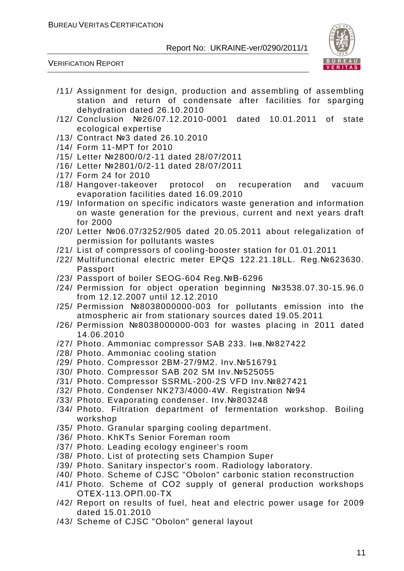

VERIFICATION REPORT

- /11/ Assignment for design, production and assembling of assembling station and return of condensate after facilities for sparging dehydration dated 26.10.2010
- /12/ Conclusion №26/07.12.2010-0001 dated 10.01.2011 of state ecological expertise
- /13/ Contract №3 dated 26.10.2010
- /14/ Form 11-MPT for 2010
- /15/ Letter №2800/0/2-11 dated 28/07/2011
- /16/ Letter №2801/0/2-11 dated 28/07/2011
- /17/ Form 24 for 2010
- /18/ Hangover-takeover protocol on recuperation and vacuum evaporation facilities dated 16.09.2010
- /19/ Information on specific indicators waste generation and information on waste generation for the previous, current and next years draft for 2000
- /20/ Letter №06.07/3252/905 dated 20.05.2011 about relegalization of permission for pollutants wastes
- /21/ List of compressors of cooling-booster station for 01.01.2011
- /22/ Multifunctional electric meter EPQS 122.21.18LL. Reg.№623630. Passport
- /23/ Passport of boiler SEOG-604 Reg.№В-6296
- /24/ Permission for object operation beginning №3538.07.30-15.96.0 from 12.12.2007 until 12.12.2010
- /25/ Permission №8038000000-003 for pollutants emission into the atmospheric air from stationary sources dated 19.05.2011
- /26/ Permission №8038000000-003 for wastes placing in 2011 dated 14.06.2010
- /27/ Photo. Ammoniac compressor SAB 233. Інв.№827422
- /28/ Photo. Ammoniac cooling station
- /29/ Photo. Compressor 2BM-27/9M2. Inv.№516791
- /30/ Photo. Compressor SAB 202 SM Inv.№525055
- /31/ Photo. Compressor SSRML-200-2S VFD Inv.№827421
- /32/ Photo. Condenser NK273/4000-4W. Registration №94
- /33/ Photo. Evaporating condenser. Inv.№803248
- /34/ Photo. Filtration department of fermentation workshop. Boiling workshop
- /35/ Photo. Granular sparging cooling department.
- /36/ Photo. KhKTs Senior Foreman room
- /37/ Photo. Leading ecology engineer's room
- /38/ Photo. List of protecting sets Champion Super
- /39/ Photo. Sanitary inspector's room. Radiology laboratory.
- /40/ Photo. Scheme of CJSC "Obolon" carbonic station reconstruction
- /41/ Photo. Scheme of СО2 supply of general production workshops ОТЕХ-113.ОРП.00-ТХ
- /42/ Report on results of fuel, heat and electric power usage for 2009 dated 15.01.2010
- /43/ Scheme of CJSC "Obolon" general layout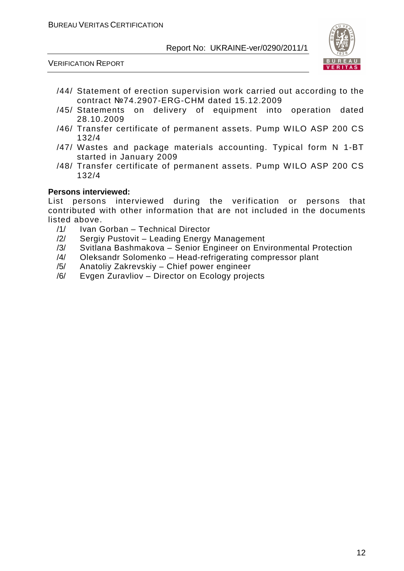

VERIFICATION REPORT

- /44/ Statement of erection supervision work carried out according to the contract №74.2907-ERG-CHM dated 15.12.2009
- /45/ Statements on delivery of equipment into operation dated 28.10.2009
- /46/ Transfer certificate of permanent assets. Pump WILO ASP 200 CS 132/4
- /47/ Wastes and package materials accounting. Typical form N 1-BT started in January 2009
- /48/ Transfer certificate of permanent assets. Pump WILO ASP 200 CS 132/4

#### **Persons interviewed:**

List persons interviewed during the verification or persons that contributed with other information that are not included in the documents listed above.

- /1/ Ivan Gorban Technical Director
- /2/ Sergiy Pustovit Leading Energy Management
- /3/ Svitlana Bashmakova Senior Engineer on Environmental Protection
- /4/ Oleksandr Solomenko Head-refrigerating compressor plant
- /5/ Anatoliy Zakrevskiy Chief power engineer
- /6/ Evgen Zuravliov Director on Ecology projects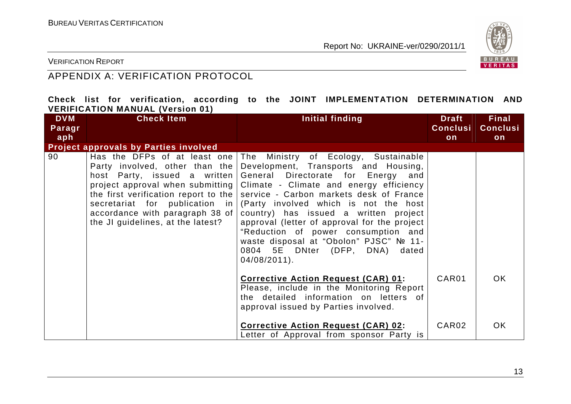

VERIFICATION REPORT

## APPENDIX A: VERIFICATION PROTOCOL

|  |                                         |  |  | Check list for verification, according to the JOINT IMPLEMENTATION DETERMINATION AND |  |
|--|-----------------------------------------|--|--|--------------------------------------------------------------------------------------|--|
|  | <b>VERIFICATION MANUAL (Version 01)</b> |  |  |                                                                                      |  |

| <b>DVM</b> | <b>Check Item</b>                                                                                                                              | Initial finding                                                                                                                                                                                                                                                                                                                                                                                                                                                                                                                                                                                                     | <b>Draft</b>    | <b>Final</b>    |
|------------|------------------------------------------------------------------------------------------------------------------------------------------------|---------------------------------------------------------------------------------------------------------------------------------------------------------------------------------------------------------------------------------------------------------------------------------------------------------------------------------------------------------------------------------------------------------------------------------------------------------------------------------------------------------------------------------------------------------------------------------------------------------------------|-----------------|-----------------|
| Paragr     |                                                                                                                                                |                                                                                                                                                                                                                                                                                                                                                                                                                                                                                                                                                                                                                     | <b>Conclusi</b> | <b>Conclusi</b> |
| aph        |                                                                                                                                                |                                                                                                                                                                                                                                                                                                                                                                                                                                                                                                                                                                                                                     | on              | on              |
|            | <b>Project approvals by Parties involved</b>                                                                                                   |                                                                                                                                                                                                                                                                                                                                                                                                                                                                                                                                                                                                                     |                 |                 |
| 90         | Party involved, other than the<br>host Party, issued a written<br>accordance with paragraph 38 of $\vert$<br>the JI guidelines, at the latest? | Has the DFPs of at least one The Ministry of Ecology, Sustainable<br>Development, Transports and Housing,<br>General Directorate for Energy and<br>project approval when submitting   Climate - Climate and energy efficiency<br>the first verification report to the service - Carbon markets desk of France<br>secretariat for publication in (Party involved which is not the host<br>country) has issued a written project<br>approval (letter of approval for the project<br>"Reduction of power consumption and<br>waste disposal at "Obolon" PJSC" № 11-<br>0804 5E DNter (DFP, DNA) dated<br>$04/08/2011$ . |                 |                 |
|            |                                                                                                                                                | <b>Corrective Action Request (CAR) 01:</b><br>Please, include in the Monitoring Report<br>the detailed information on letters of<br>approval issued by Parties involved.                                                                                                                                                                                                                                                                                                                                                                                                                                            | CAR01           | OK.             |
|            |                                                                                                                                                | Corrective Action Request (CAR) 02:<br>Letter of Approval from sponsor Party is                                                                                                                                                                                                                                                                                                                                                                                                                                                                                                                                     | CAR02           | <b>OK</b>       |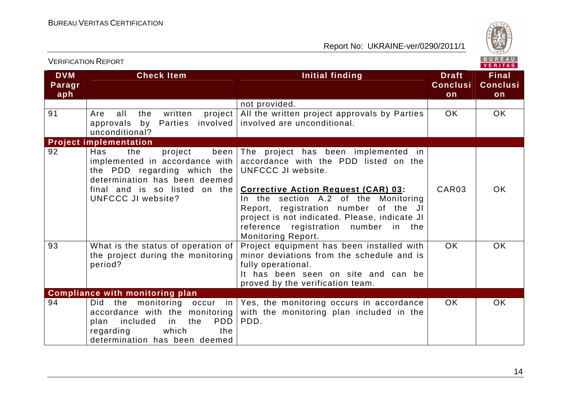

|                             |                                                                                                                                                                                                  |                                                                                                                                                                                                                                                                                                                                                         |                                       | <b>VERITAS</b>                        |
|-----------------------------|--------------------------------------------------------------------------------------------------------------------------------------------------------------------------------------------------|---------------------------------------------------------------------------------------------------------------------------------------------------------------------------------------------------------------------------------------------------------------------------------------------------------------------------------------------------------|---------------------------------------|---------------------------------------|
| <b>DVM</b><br>Paragr<br>aph | <b>Check Item</b>                                                                                                                                                                                | <b>Initial finding</b>                                                                                                                                                                                                                                                                                                                                  | <b>Draft</b><br><b>Conclusi</b><br>on | <b>Final</b><br><b>Conclusi</b><br>on |
|                             |                                                                                                                                                                                                  | not provided.                                                                                                                                                                                                                                                                                                                                           |                                       |                                       |
| 91                          | written<br>project<br>Are<br>all<br>the<br>approvals by<br>Parties involved<br>unconditional?                                                                                                    | All the written project approvals by Parties<br>involved are unconditional.                                                                                                                                                                                                                                                                             | OK.                                   | OK.                                   |
|                             | <b>Project implementation</b>                                                                                                                                                                    |                                                                                                                                                                                                                                                                                                                                                         |                                       |                                       |
| 92                          | Has<br>the<br>project<br>been<br>implemented in accordance with<br>the PDD regarding which the<br>determination has been deemed<br>final and is so listed<br>on the<br><b>UNFCCC JI website?</b> | The project has been implemented in<br>accordance with the PDD listed on the<br>UNFCCC JI website.<br><b>Corrective Action Request (CAR) 03:</b><br>In the section A.2 of the Monitoring<br>Report, registration number of the JI<br>project is not indicated. Please, indicate JI<br>reference registration number in the<br><b>Monitoring Report.</b> | CAR <sub>03</sub>                     | <b>OK</b>                             |
| 93                          | What is the status of operation of<br>the project during the monitoring<br>period?                                                                                                               | Project equipment has been installed with<br>minor deviations from the schedule and is<br>fully operational.<br>It has been seen on site and can be<br>proved by the verification team.                                                                                                                                                                 | OK.                                   | <b>OK</b>                             |
|                             | <b>Compliance with monitoring plan</b>                                                                                                                                                           |                                                                                                                                                                                                                                                                                                                                                         |                                       |                                       |
| 94                          | the monitoring occur in<br>Did<br>accordance with the monitoring<br><b>PDD</b><br>included<br>in<br>the<br>plan<br>which<br>regarding<br>the<br>determination has been deemed                    | Yes, the monitoring occurs in accordance<br>with the monitoring plan included in the<br>PDD.                                                                                                                                                                                                                                                            | OK.                                   | <b>OK</b>                             |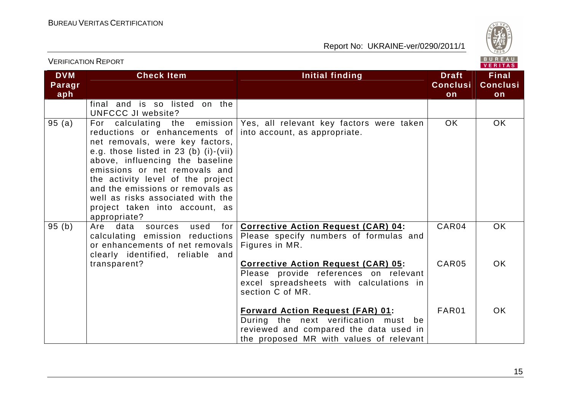

|                             |                                                                                                                                                                                                                                                                                                                                                 | VERITAS                                                                                                                                                              |                                       |                                       |  |
|-----------------------------|-------------------------------------------------------------------------------------------------------------------------------------------------------------------------------------------------------------------------------------------------------------------------------------------------------------------------------------------------|----------------------------------------------------------------------------------------------------------------------------------------------------------------------|---------------------------------------|---------------------------------------|--|
| <b>DVM</b><br>Paragr<br>aph | <b>Check Item</b>                                                                                                                                                                                                                                                                                                                               | <b>Initial finding</b>                                                                                                                                               | <b>Draft</b><br><b>Conclusi</b><br>on | <b>Final</b><br><b>Conclusi</b><br>on |  |
|                             | final and is so listed on the<br><b>UNFCCC JI website?</b>                                                                                                                                                                                                                                                                                      |                                                                                                                                                                      |                                       |                                       |  |
| 95 (a)                      | reductions or enhancements of<br>net removals, were key factors,<br>e.g. those listed in $23$ (b) (i)-(vii)<br>above, influencing the baseline<br>emissions or net removals and<br>the activity level of the project<br>and the emissions or removals as<br>well as risks associated with the<br>project taken into account, as<br>appropriate? | For calculating the emission   Yes, all relevant key factors were taken<br>into account, as appropriate.                                                             | <b>OK</b>                             | <b>OK</b>                             |  |
| 95 (b)                      | Are<br>data<br>used<br>for I<br>sources<br>calculating emission reductions<br>or enhancements of net removals<br>clearly identified, reliable and                                                                                                                                                                                               | <b>Corrective Action Request (CAR) 04:</b><br>Please specify numbers of formulas and<br>Figures in MR.                                                               | CAR04                                 | <b>OK</b>                             |  |
|                             | transparent?                                                                                                                                                                                                                                                                                                                                    | <b>Corrective Action Request (CAR) 05:</b><br>Please provide references on relevant<br>excel spreadsheets with calculations in<br>section C of MR.                   | CAR05                                 | <b>OK</b>                             |  |
|                             |                                                                                                                                                                                                                                                                                                                                                 | <b>Forward Action Request (FAR) 01:</b><br>During the next verification must be<br>reviewed and compared the data used in<br>the proposed MR with values of relevant | FAR01                                 | <b>OK</b>                             |  |

VERIFICATION REPORT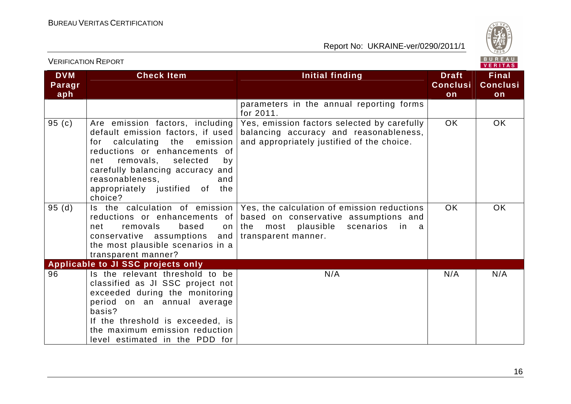VERIFICATION REPORT



| <b>DVM</b><br>Paragr<br>aph | <b>Check Item</b>                                                                                                                                                                                                                                                                               | Initial finding                                                                                                                                              | <b>Draft</b><br><b>Conclusi</b><br>on | Final<br><b>Conclusi</b><br>on |
|-----------------------------|-------------------------------------------------------------------------------------------------------------------------------------------------------------------------------------------------------------------------------------------------------------------------------------------------|--------------------------------------------------------------------------------------------------------------------------------------------------------------|---------------------------------------|--------------------------------|
|                             |                                                                                                                                                                                                                                                                                                 | parameters in the annual reporting forms<br>for 2011.                                                                                                        |                                       |                                |
| 95 $(c)$                    | Are emission factors, including<br>default emission factors, if used<br>calculating<br>emission<br>the<br>for<br>reductions or enhancements of<br>removals,<br>selected<br>net<br>by<br>carefully balancing accuracy and<br>reasonableness.<br>and<br>appropriately justified of the<br>choice? | Yes, emission factors selected by carefully<br>balancing accuracy and reasonableness,<br>and appropriately justified of the choice.                          | <b>OK</b>                             | <b>OK</b>                      |
| 95(d)                       | Is the calculation of emission<br>reductions or enhancements of<br>removals<br>based<br>net<br>on<br>conservative assumptions and<br>the most plausible scenarios in a<br>transparent manner?                                                                                                   | Yes, the calculation of emission reductions<br>based on conservative assumptions and<br>the<br>most<br>plausible<br>scenarios<br>in a<br>transparent manner. | OK.                                   | OK.                            |
|                             | Applicable to JI SSC projects only                                                                                                                                                                                                                                                              |                                                                                                                                                              |                                       |                                |
| 96                          | Is the relevant threshold to be<br>classified as JI SSC project not<br>exceeded during the monitoring<br>period on an annual average<br>basis?<br>If the threshold is exceeded, is<br>the maximum emission reduction<br>level estimated in the PDD for                                          | N/A                                                                                                                                                          | N/A                                   | N/A                            |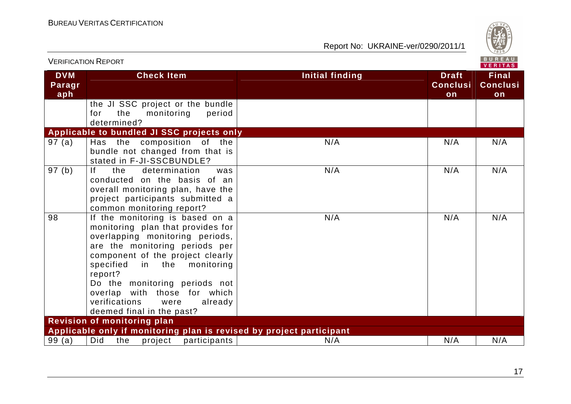

| <b>VERIFICATION REPORT</b>  |                                                                                                                                                                                                                                                                                                                                                              |                        |                                       | <b>BUREAU</b><br>VERITAS              |
|-----------------------------|--------------------------------------------------------------------------------------------------------------------------------------------------------------------------------------------------------------------------------------------------------------------------------------------------------------------------------------------------------------|------------------------|---------------------------------------|---------------------------------------|
| <b>DVM</b><br>Paragr<br>aph | <b>Check Item</b>                                                                                                                                                                                                                                                                                                                                            | <b>Initial finding</b> | <b>Draft</b><br><b>Conclusi</b><br>on | <b>Final</b><br><b>Conclusi</b><br>on |
|                             | the JI SSC project or the bundle<br>for<br>the<br>monitoring<br>period<br>determined?                                                                                                                                                                                                                                                                        |                        |                                       |                                       |
|                             | Applicable to bundled JI SSC projects only                                                                                                                                                                                                                                                                                                                   |                        |                                       |                                       |
| 97(a)                       | Has the composition of the<br>bundle not changed from that is<br>stated in F-JI-SSCBUNDLE?                                                                                                                                                                                                                                                                   | N/A                    | N/A                                   | N/A                                   |
| 97 (b)                      | determination<br><u>If</u><br>the<br>was<br>conducted on the basis of an<br>overall monitoring plan, have the<br>project participants submitted a<br>common monitoring report?                                                                                                                                                                               | N/A                    | N/A                                   | N/A                                   |
| 98                          | If the monitoring is based on a<br>monitoring plan that provides for<br>overlapping monitoring periods,<br>are the monitoring periods per<br>component of the project clearly<br>specified<br>in the monitoring<br>report?<br>Do the monitoring periods not<br>overlap with those for which<br>verifications<br>were<br>already<br>deemed final in the past? | N/A                    | N/A                                   | N/A                                   |
|                             | <b>Revision of monitoring plan</b>                                                                                                                                                                                                                                                                                                                           |                        |                                       |                                       |
|                             | Applicable only if monitoring plan is revised by project participant                                                                                                                                                                                                                                                                                         |                        |                                       |                                       |
| 99(a)                       | Did<br>the<br>project<br>participants                                                                                                                                                                                                                                                                                                                        | N/A                    | N/A                                   | N/A                                   |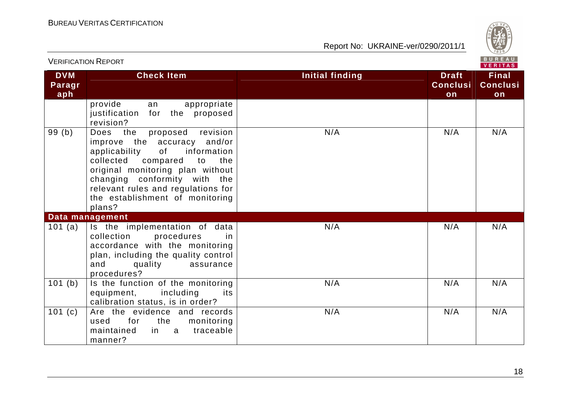

| <b>DVM</b><br>Paragr<br>aph | <b>Check Item</b>                                                                                                                                                                                                                                                                               | Initial finding<br><b>Draft</b><br><b>Conclusi</b><br>on | <b>Final</b><br><b>Conclusi</b><br>on |  |  |
|-----------------------------|-------------------------------------------------------------------------------------------------------------------------------------------------------------------------------------------------------------------------------------------------------------------------------------------------|----------------------------------------------------------|---------------------------------------|--|--|
|                             | provide<br>appropriate<br>an<br>justification<br>for the proposed<br>revision?                                                                                                                                                                                                                  |                                                          |                                       |  |  |
| 99(b)                       | Does the<br>revision<br>proposed<br>improve the accuracy and/or<br>applicability<br>of<br>information<br>collected compared<br>to<br>the<br>original monitoring plan without<br>changing conformity with the<br>relevant rules and regulations for<br>the establishment of monitoring<br>plans? | N/A<br>N/A                                               | N/A                                   |  |  |
|                             | Data management                                                                                                                                                                                                                                                                                 |                                                          |                                       |  |  |
| 101 $(a)$                   | Is the implementation of data<br>procedures<br>collection<br>in.<br>accordance with the monitoring<br>plan, including the quality control<br>and<br>quality<br>assurance<br>procedures?                                                                                                         | N/A<br>N/A                                               | N/A                                   |  |  |
| 101(b)                      | Is the function of the monitoring<br>equipment,<br>including<br>its<br>calibration status, is in order?                                                                                                                                                                                         | N/A<br>N/A                                               | N/A                                   |  |  |
| 101 $(c)$                   | Are the evidence and records<br>for<br>the<br>monitoring<br>used<br>traceable<br>maintained<br>in a<br>manner?                                                                                                                                                                                  | N/A<br>N/A                                               | N/A                                   |  |  |

#### VERIFICATION REPORT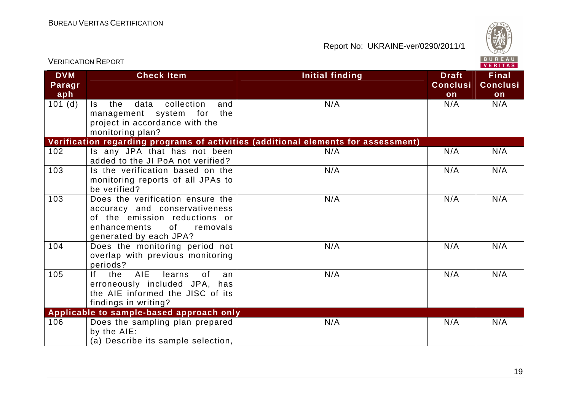

|                             | <b>VERIFICATION REPORT</b>                                                                                                                                                                                                                                                    |                                                                                    |                                       | <b>BUREAU</b><br><b>VERITAS</b>       |  |
|-----------------------------|-------------------------------------------------------------------------------------------------------------------------------------------------------------------------------------------------------------------------------------------------------------------------------|------------------------------------------------------------------------------------|---------------------------------------|---------------------------------------|--|
| <b>DVM</b><br>Paragr<br>aph | <b>Check Item</b>                                                                                                                                                                                                                                                             | <b>Initial finding</b>                                                             | <b>Draft</b><br><b>Conclusi</b><br>on | <b>Final</b><br><b>Conclusi</b><br>on |  |
| 101(d)                      | data<br>collection<br>the<br>and<br>$\mathsf{ls}$<br>the<br>management system<br>for<br>project in accordance with the<br>monitoring plan?                                                                                                                                    | N/A                                                                                | N/A                                   | N/A                                   |  |
|                             |                                                                                                                                                                                                                                                                               | Verification regarding programs of activities (additional elements for assessment) |                                       |                                       |  |
| 102                         | Is any JPA that has not been<br>added to the JI PoA not verified?                                                                                                                                                                                                             | N/A                                                                                | N/A                                   | N/A                                   |  |
| 103                         | Is the verification based on the<br>monitoring reports of all JPAs to<br>be verified?                                                                                                                                                                                         | N/A                                                                                | N/A                                   | N/A                                   |  |
| 103                         | Does the verification ensure the<br>accuracy and conservativeness<br>of the emission reductions or<br>of the contract of the contract of the contract of the contract of the contract of the contract of the contract o<br>enhancements<br>removals<br>generated by each JPA? | N/A                                                                                | N/A                                   | N/A                                   |  |
| 104                         | Does the monitoring period not<br>overlap with previous monitoring<br>periods?                                                                                                                                                                                                | N/A                                                                                | N/A                                   | N/A                                   |  |
| 105                         | <b>AIE</b><br>If.<br>the<br>learns<br>0f<br>an<br>erroneously included JPA, has<br>the AIE informed the JISC of its<br>findings in writing?                                                                                                                                   | N/A                                                                                | N/A                                   | N/A                                   |  |
|                             | Applicable to sample-based approach only                                                                                                                                                                                                                                      |                                                                                    |                                       |                                       |  |
| 106                         | Does the sampling plan prepared<br>by the AIE:<br>(a) Describe its sample selection,                                                                                                                                                                                          | N/A                                                                                | N/A                                   | N/A                                   |  |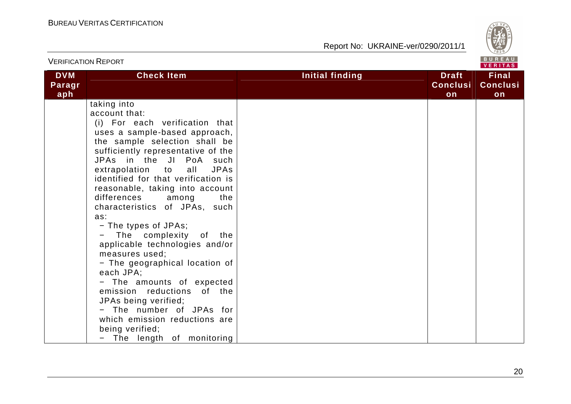

|                             | <b>VERIFICATION REPORT</b>                                                                                                                                                                                                                                                                                                                                                                                                                                                                                                                                                                                                                                                                                                                           | BUREAU<br><b>VERITAS</b> |                                       |                                       |
|-----------------------------|------------------------------------------------------------------------------------------------------------------------------------------------------------------------------------------------------------------------------------------------------------------------------------------------------------------------------------------------------------------------------------------------------------------------------------------------------------------------------------------------------------------------------------------------------------------------------------------------------------------------------------------------------------------------------------------------------------------------------------------------------|--------------------------|---------------------------------------|---------------------------------------|
| <b>DVM</b><br>Paragr<br>aph | <b>Check Item</b>                                                                                                                                                                                                                                                                                                                                                                                                                                                                                                                                                                                                                                                                                                                                    | Initial finding          | <b>Draft</b><br><b>Conclusi</b><br>on | <b>Final</b><br><b>Conclusi</b><br>on |
|                             | taking into<br>account that:<br>(i) For each verification that<br>uses a sample-based approach,<br>the sample selection shall be<br>sufficiently representative of the<br>JPAs in the JI PoA such<br>extrapolation to<br>all<br><b>JPAs</b><br>identified for that verification is<br>reasonable, taking into account<br>differences<br>among<br>the<br>characteristics of JPAs, such<br>as:<br>- The types of JPAs;<br>The complexity of the<br>applicable technologies and/or<br>measures used;<br>- The geographical location of<br>each JPA;<br>- The amounts of expected<br>emission reductions<br>of the<br>JPAs being verified;<br>- The number of JPAs for<br>which emission reductions are<br>being verified;<br>- The length of monitoring |                          |                                       |                                       |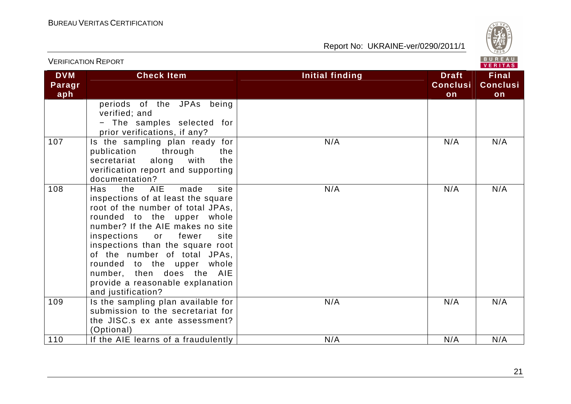

|                             |                                                                                                                                                                                                                                                                                                                                                                                                                      | VERITAS                |                                       |                                       |  |
|-----------------------------|----------------------------------------------------------------------------------------------------------------------------------------------------------------------------------------------------------------------------------------------------------------------------------------------------------------------------------------------------------------------------------------------------------------------|------------------------|---------------------------------------|---------------------------------------|--|
| <b>DVM</b><br>Paragr<br>aph | <b>Check Item</b>                                                                                                                                                                                                                                                                                                                                                                                                    | <b>Initial finding</b> | <b>Draft</b><br><b>Conclusi</b><br>on | <b>Final</b><br><b>Conclusi</b><br>on |  |
|                             | periods of the JPAs being<br>verified; and<br>- The samples selected for<br>prior verifications, if any?                                                                                                                                                                                                                                                                                                             |                        |                                       |                                       |  |
| 107                         | Is the sampling plan ready for<br>through<br>publication<br>the<br>secretariat<br>along<br>with<br>the<br>verification report and supporting<br>documentation?                                                                                                                                                                                                                                                       | N/A                    | N/A                                   | N/A                                   |  |
| 108                         | <b>AIE</b><br>made<br>site<br>Has<br>the<br>inspections of at least the square<br>root of the number of total JPAs,<br>rounded to the upper whole<br>number? If the AIE makes no site<br>fewer<br>inspections<br>site<br>or<br>inspections than the square root<br>of the number of total JPAs,<br>rounded to the upper whole<br>number, then does the AIE<br>provide a reasonable explanation<br>and justification? | N/A                    | N/A                                   | N/A                                   |  |
| 109                         | Is the sampling plan available for<br>submission to the secretariat for<br>the JISC.s ex ante assessment?<br>(Optional)                                                                                                                                                                                                                                                                                              | N/A                    | N/A                                   | N/A                                   |  |
| 110                         | If the AIE learns of a fraudulently                                                                                                                                                                                                                                                                                                                                                                                  | N/A                    | N/A                                   | N/A                                   |  |

VERIFICATION REPORT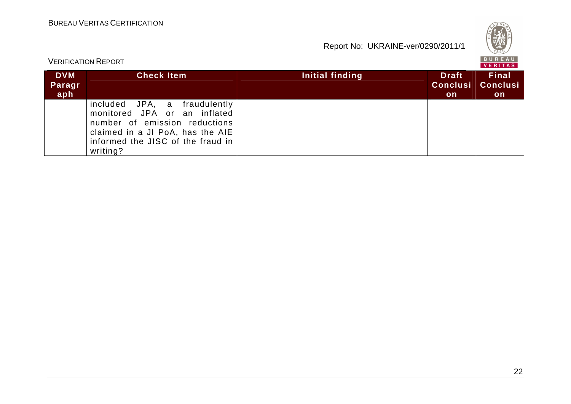|                             |                                                                                                                                                                                             | Report No: UKRAINE-ver/0290/2011/1                       | $\frac{1}{1828}$                       |
|-----------------------------|---------------------------------------------------------------------------------------------------------------------------------------------------------------------------------------------|----------------------------------------------------------|----------------------------------------|
|                             | <b>VERIFICATION REPORT</b>                                                                                                                                                                  |                                                          | BUREAU<br>VERITAS                      |
| <b>DVM</b><br>Paragr<br>aph | <b>Check Item</b>                                                                                                                                                                           | <b>Draft</b><br>Initial finding<br><b>Conclusi</b><br>on | <b>Final</b><br><b>Conclusi</b><br>on. |
|                             | JPA,<br>fraudulently<br>included<br>a<br>monitored JPA or an inflated<br>number of emission reductions<br>claimed in a JI PoA, has the AIE<br>informed the JISC of the fraud in<br>writing? |                                                          |                                        |

**AND VER**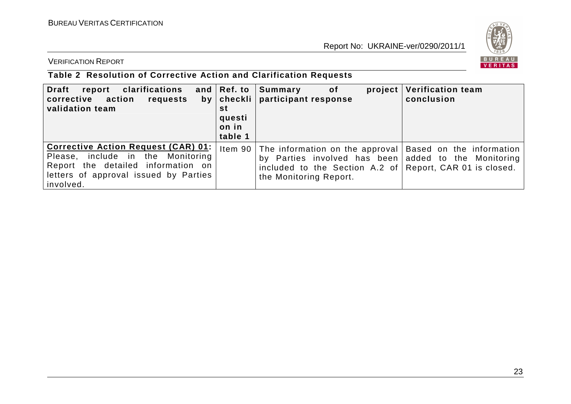

VERIFICATION REPORT

## **Table 2 Resolution of Corrective Action and Clarification Requests**

| clarifications<br><b>Draft</b><br>report<br>corrective action<br>requests<br>validation team                                                                                | and $ Ref.$ to<br>by   checkli  <br>st<br>questi<br>on in<br>table 1 | Summary<br>of<br>project<br>participant response                                                                                                                                                                       | <b>Verification team</b><br>conclusion |
|-----------------------------------------------------------------------------------------------------------------------------------------------------------------------------|----------------------------------------------------------------------|------------------------------------------------------------------------------------------------------------------------------------------------------------------------------------------------------------------------|----------------------------------------|
| <b>Corrective Action Request (CAR) 01:</b><br>Please, include in the Monitoring<br>Report the detailed information on<br>letters of approval issued by Parties<br>involved. |                                                                      | Item 90 The information on the approval $\vert$ Based on the information<br>by Parties involved has been added to the Monitoring<br>included to the Section A.2 of Report, CAR 01 is closed.<br>the Monitoring Report. |                                        |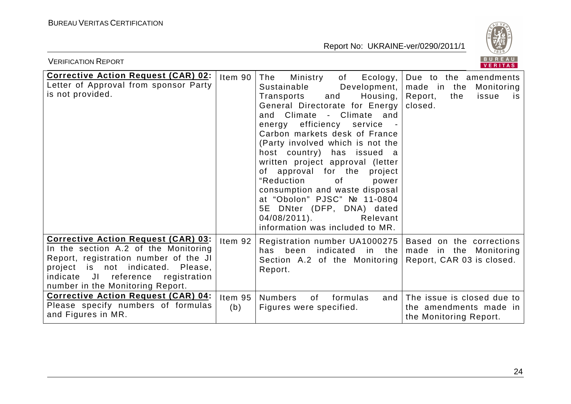

| BUREAU<br><b>VERIFICATION REPORT</b><br><b>VERITAS</b>                                                                                                                                                                                                                                                                                                        |                               |                                                                                                                                                                                                                                                                                                                                                                                                                                                                                                                                                                      |                                                                                                          |  |
|---------------------------------------------------------------------------------------------------------------------------------------------------------------------------------------------------------------------------------------------------------------------------------------------------------------------------------------------------------------|-------------------------------|----------------------------------------------------------------------------------------------------------------------------------------------------------------------------------------------------------------------------------------------------------------------------------------------------------------------------------------------------------------------------------------------------------------------------------------------------------------------------------------------------------------------------------------------------------------------|----------------------------------------------------------------------------------------------------------|--|
| <b>Corrective Action Request (CAR) 02:</b><br>Letter of Approval from sponsor Party<br>is not provided.                                                                                                                                                                                                                                                       | Item 90                       | The<br>Ecology,<br>Ministry<br>of<br>Sustainable<br>Development,  <br>Housing,<br>Transports<br>and<br>General Directorate for Energy<br>and Climate - Climate and<br>efficiency service<br>energy<br>Carbon markets desk of France<br>(Party involved which is not the<br>host country) has issued a<br>written project approval (letter<br>of approval for the project<br>"Reduction<br>0f<br>power<br>consumption and waste disposal<br>at "Obolon" PJSC" № 11-0804<br>5E DNter (DFP, DNA) dated<br>$04/08/2011$ .<br>Relevant<br>information was included to MR. | Due to the amendments<br>made in the<br>Monitoring<br>Report,<br>the<br>issue<br>is.<br>closed.          |  |
| <b>Corrective Action Request (CAR) 03:</b><br>In the section A.2 of the Monitoring<br>Report, registration number of the JI<br>project is not indicated. Please,<br>Jl<br>reference<br>registration<br>indicate<br>number in the Monitoring Report.<br><b>Corrective Action Request (CAR) 04:</b><br>Please specify numbers of formulas<br>and Figures in MR. | Item $92$<br>Item $95$<br>(b) | Registration number UA1000275   Based on the corrections<br>has been indicated in the<br>Section A.2 of the Monitoring Report, CAR 03 is closed.<br>Report.<br><b>Numbers</b><br>of<br>formulas<br>and $\vert$<br>Figures were specified.                                                                                                                                                                                                                                                                                                                            | made in the Monitoring<br>The issue is closed due to<br>the amendments made in<br>the Monitoring Report. |  |